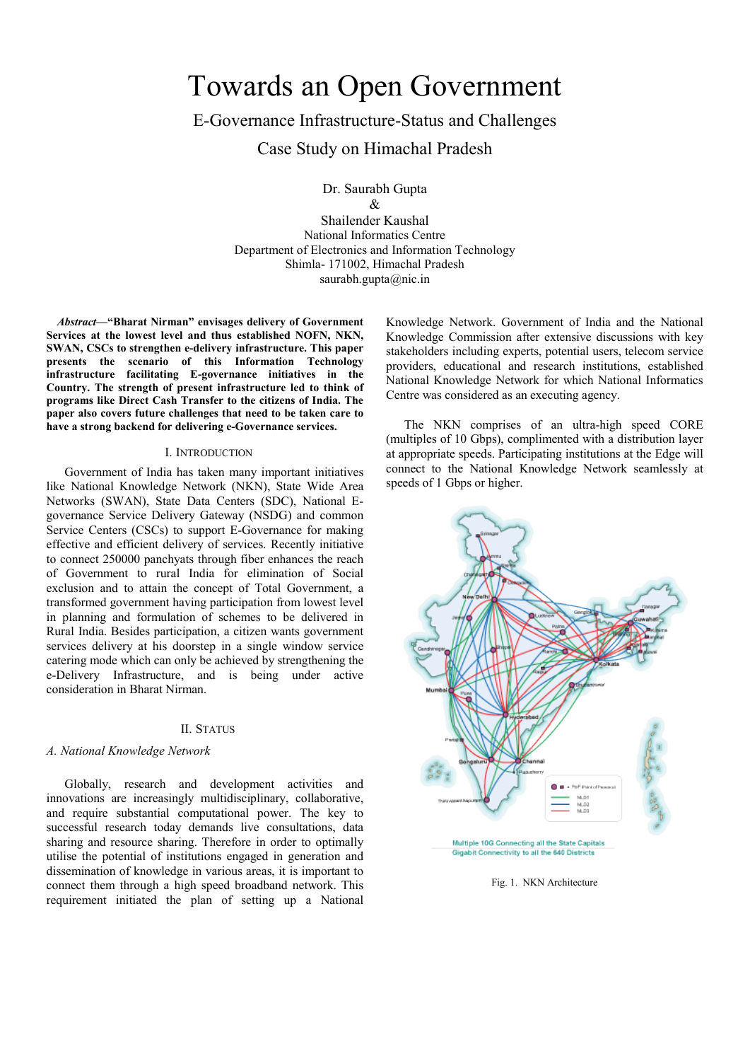# Towards an Open Government

E-Governance Infrastructure-Status and Challenges

Case Study on Himachal Pradesh

Dr. Saurabh Gupta  $\mathcal{R}$ 

Shailender Kaushal National Informatics Centre Department of Electronics and Information Technology Shimla- 171002, Himachal Pradesh saurabh.gupta@nic.in

*Abstract***—"Bharat Nirman" envisages delivery of Government Services at the lowest level and thus established NOFN, NKN, SWAN, CSCs to strengthen e-delivery infrastructure. This paper presents the scenario of this Information Technology infrastructure facilitating E-governance initiatives in the Country. The strength of present infrastructure led to think of programs like Direct Cash Transfer to the citizens of India. The paper also covers future challenges that need to be taken care to have a strong backend for delivering e-Governance services.**

#### I. INTRODUCTION

Government of India has taken many important initiatives like National Knowledge Network (NKN), State Wide Area Networks (SWAN), State Data Centers (SDC), National Egovernance Service Delivery Gateway (NSDG) and common Service Centers (CSCs) to support E-Governance for making effective and efficient delivery of services. Recently initiative to connect 250000 panchyats through fiber enhances the reach of Government to rural India for elimination of Social exclusion and to attain the concept of Total Government, a transformed government having participation from lowest level in planning and formulation of schemes to be delivered in Rural India. Besides participation, a citizen wants government services delivery at his doorstep in a single window service catering mode which can only be achieved by strengthening the e-Delivery Infrastructure, and is being under active consideration in Bharat Nirman.

# II. STATUS

## *A. National Knowledge Network*

Globally, research and development activities and innovations are increasingly multidisciplinary, collaborative, and require substantial computational power. The key to successful research today demands live consultations, data sharing and resource sharing. Therefore in order to optimally utilise the potential of institutions engaged in generation and dissemination of knowledge in various areas, it is important to connect them through a high speed broadband network. This requirement initiated the plan of setting up a National

Knowledge Network. Government of India and the National Knowledge Commission after extensive discussions with key stakeholders including experts, potential users, telecom service providers, educational and research institutions, established National Knowledge Network for which National Informatics Centre was considered as an executing agency.

The NKN comprises of an ultra-high speed CORE (multiples of 10 Gbps), complimented with a distribution layer at appropriate speeds. Participating institutions at the Edge will connect to the National Knowledge Network seamlessly at speeds of 1 Gbps or higher.



Fig. 1. NKN Architecture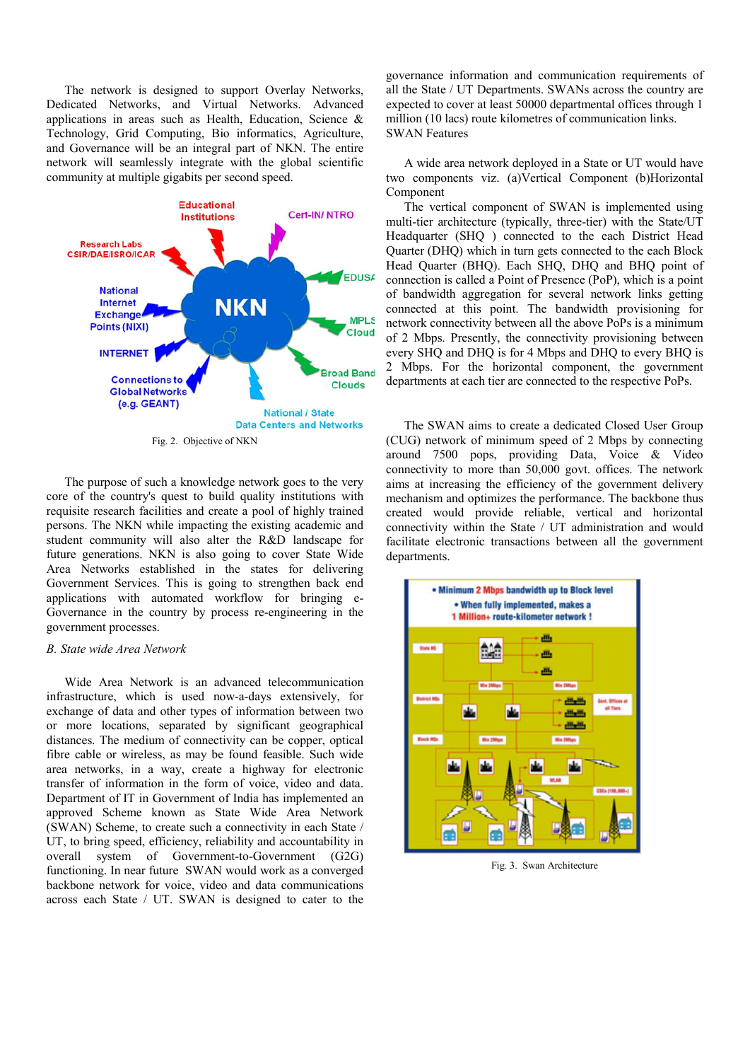The network is designed to support Overlay Networks, Dedicated Networks, and Virtual Networks. Advanced applications in areas such as Health, Education, Science & Technology, Grid Computing, Bio informatics, Agriculture, and Governance will be an integral part of NKN. The entire network will seamlessly integrate with the global scientific community at multiple gigabits per second speed.



The purpose of such a knowledge network goes to the very core of the country's quest to build quality institutions with requisite research facilities and create a pool of highly trained persons. The NKN while impacting the existing academic and student community will also alter the R&D landscape for future generations. NKN is also going to cover State Wide Area Networks established in the states for delivering Government Services. This is going to strengthen back end applications with automated workflow for bringing e-Governance in the country by process re-engineering in the government processes.

## *B. State wide Area Network*

Wide Area Network is an advanced telecommunication infrastructure, which is used now-a-days extensively, for exchange of data and other types of information between two or more locations, separated by significant geographical distances. The medium of connectivity can be copper, optical fibre cable or wireless, as may be found feasible. Such wide area networks, in a way, create a highway for electronic transfer of information in the form of voice, video and data. Department of IT in Government of India has implemented an approved Scheme known as State Wide Area Network (SWAN) Scheme, to create such a connectivity in each State / UT, to bring speed, efficiency, reliability and accountability in overall system of Government-to-Government (G2G) functioning. In near future SWAN would work as a converged backbone network for voice, video and data communications across each State / UT. SWAN is designed to cater to the

governance information and communication requirements of all the State / UT Departments. SWANs across the country are expected to cover at least 50000 departmental offices through 1 million (10 lacs) route kilometres of communication links. SWAN Features

A wide area network deployed in a State or UT would have two components viz. (a)Vertical Component (b)Horizontal Component

The vertical component of SWAN is implemented using multi-tier architecture (typically, three-tier) with the State/UT Headquarter (SHQ ) connected to the each District Head Quarter (DHQ) which in turn gets connected to the each Block Head Quarter (BHQ). Each SHQ, DHQ and BHQ point of connection is called a Point of Presence (PoP), which is a point of bandwidth aggregation for several network links getting connected at this point. The bandwidth provisioning for network connectivity between all the above PoPs is a minimum of 2 Mbps. Presently, the connectivity provisioning between every SHQ and DHQ is for 4 Mbps and DHQ to every BHQ is 2 Mbps. For the horizontal component, the government departments at each tier are connected to the respective PoPs.

The SWAN aims to create a dedicated Closed User Group (CUG) network of minimum speed of 2 Mbps by connecting around 7500 pops, providing Data, Voice & Video connectivity to more than 50,000 govt. offices. The network aims at increasing the efficiency of the government delivery mechanism and optimizes the performance. The backbone thus created would provide reliable, vertical and horizontal connectivity within the State / UT administration and would facilitate electronic transactions between all the government departments.



Fig. 3. Swan Architecture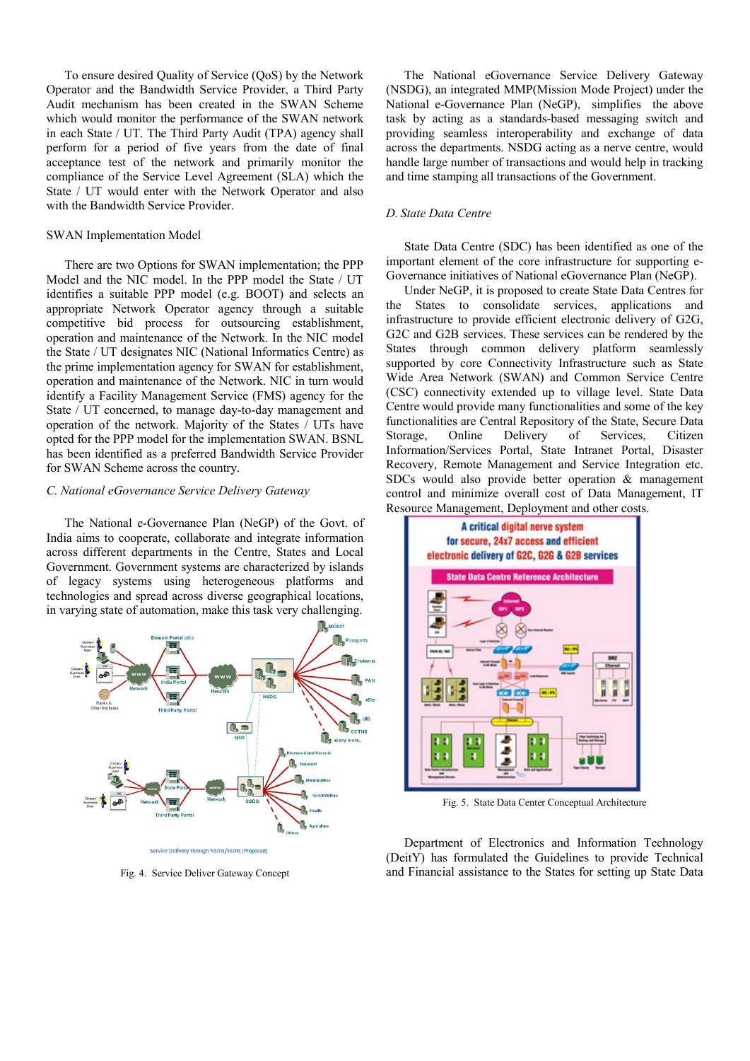To ensure desired Quality of Service (QoS) by the Network Operator and the Bandwidth Service Provider, a Third Party Audit mechanism has been created in the SWAN Scheme which would monitor the performance of the SWAN network in each State / UT. The Third Party Audit (TPA) agency shall perform for a period of five years from the date of final acceptance test of the network and primarily monitor the compliance of the Service Level Agreement (SLA) which the State / UT would enter with the Network Operator and also with the Bandwidth Service Provider.

#### SWAN Implementation Model

There are two Options for SWAN implementation; the PPP Model and the NIC model. In the PPP model the State / UT identifies a suitable PPP model (e.g. BOOT) and selects an appropriate Network Operator agency through a suitable competitive bid process for outsourcing establishment, operation and maintenance of the Network. In the NIC model the State / UT designates NIC (National Informatics Centre) as the prime implementation agency for SWAN for establishment, operation and maintenance of the Network. NIC in turn would identify a Facility Management Service (FMS) agency for the State / UT concerned, to manage day-to-day management and operation of the network. Majority of the States / UTs have opted for the PPP model for the implementation SWAN. BSNL has been identified as a preferred Bandwidth Service Provider for SWAN Scheme across the country.

### *C. National eGovernance Service Delivery Gateway*

The National e-Governance Plan (NeGP) of the Govt. of India aims to cooperate, collaborate and integrate information across different departments in the Centre, States and Local Government. Government systems are characterized by islands of legacy systems using heterogeneous platforms and technologies and spread across diverse geographical locations, in varying state of automation, make this task very challenging.



Service Delivery through NSDG/SSDG (Proposed)

Fig. 4. Service Deliver Gateway Concept

The National eGovernance Service Delivery Gateway (NSDG), an integrated MMP(Mission Mode Project) under the National e-Governance Plan (NeGP), simplifies the above task by acting as a standards-based messaging switch and providing seamless interoperability and exchange of data across the departments. NSDG acting as a nerve centre, would handle large number of transactions and would help in tracking and time stamping all transactions of the Government.

## *D. State Data Centre*

State Data Centre (SDC) has been identified as one of the important element of the core infrastructure for supporting e-Governance initiatives of National eGovernance Plan (NeGP).

Under NeGP, it is proposed to create State Data Centres for the States to consolidate services, applications and infrastructure to provide efficient electronic delivery of G2G, G2C and G2B services. These services can be rendered by the States through common delivery platform seamlessly supported by core Connectivity Infrastructure such as State Wide Area Network (SWAN) and Common Service Centre (CSC) connectivity extended up to village level. State Data Centre would provide many functionalities and some of the key functionalities are Central Repository of the State, Secure Data Storage, Online Delivery of Services, Citizen Information/Services Portal, State Intranet Portal, Disaster Recovery, Remote Management and Service Integration etc. SDCs would also provide better operation & management control and minimize overall cost of Data Management, IT Resource Management, Deployment and other costs.



Fig. 5. State Data Center Conceptual Architecture

Department of Electronics and Information Technology (DeitY) has formulated the Guidelines to provide Technical and Financial assistance to the States for setting up State Data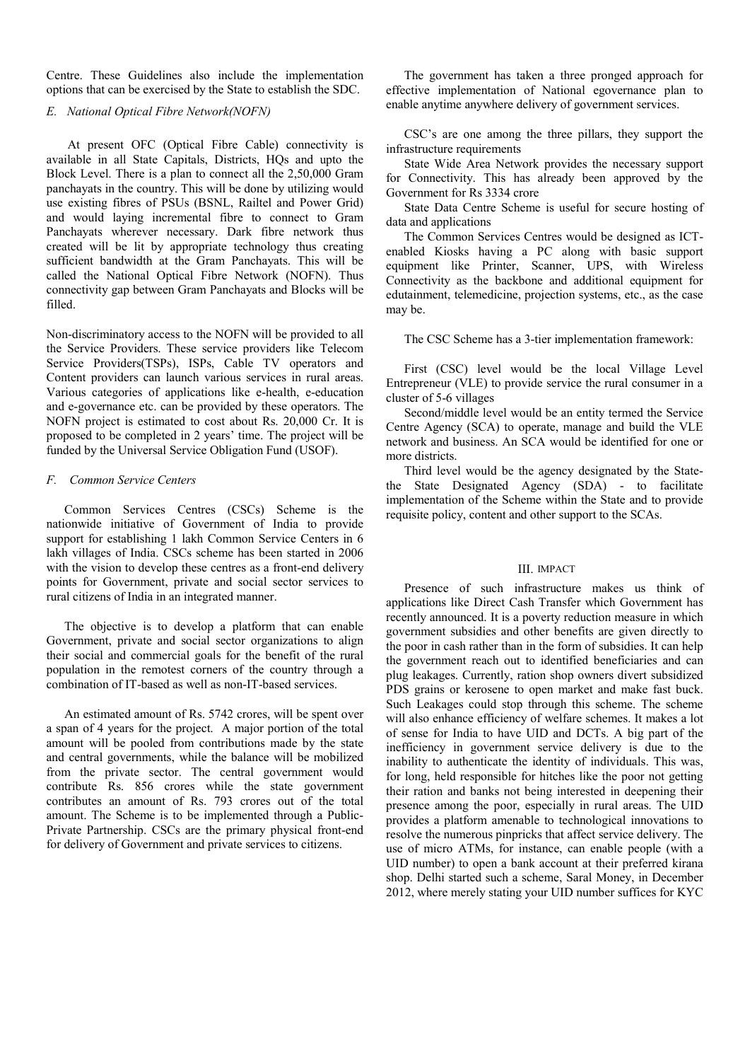Centre. These Guidelines also include the implementation options that can be exercised by the State to establish the SDC.

## *E. National Optical Fibre Network(NOFN)*

At present OFC (Optical Fibre Cable) connectivity is available in all State Capitals, Districts, HQs and upto the Block Level. There is a plan to connect all the 2,50,000 Gram panchayats in the country. This will be done by utilizing would use existing fibres of PSUs (BSNL, Railtel and Power Grid) and would laying incremental fibre to connect to Gram Panchayats wherever necessary. Dark fibre network thus created will be lit by appropriate technology thus creating sufficient bandwidth at the Gram Panchayats. This will be called the National Optical Fibre Network (NOFN). Thus connectivity gap between Gram Panchayats and Blocks will be filled.

Non-discriminatory access to the NOFN will be provided to all the Service Providers. These service providers like Telecom Service Providers(TSPs), ISPs, Cable TV operators and Content providers can launch various services in rural areas. Various categories of applications like e-health, e-education and e-governance etc. can be provided by these operators. The NOFN project is estimated to cost about Rs. 20,000 Cr. It is proposed to be completed in 2 years' time. The project will be funded by the Universal Service Obligation Fund (USOF).

#### *F. Common Service Centers*

Common Services Centres (CSCs) Scheme is the nationwide initiative of Government of India to provide support for establishing 1 lakh Common Service Centers in 6 lakh villages of India. CSCs scheme has been started in 2006 with the vision to develop these centres as a front-end delivery points for Government, private and social sector services to rural citizens of India in an integrated manner.

The objective is to develop a platform that can enable Government, private and social sector organizations to align their social and commercial goals for the benefit of the rural population in the remotest corners of the country through a combination of IT-based as well as non-IT-based services.

An estimated amount of Rs. 5742 crores, will be spent over a span of 4 years for the project. A major portion of the total amount will be pooled from contributions made by the state and central governments, while the balance will be mobilized from the private sector. The central government would contribute Rs. 856 crores while the state government contributes an amount of Rs. 793 crores out of the total amount. The Scheme is to be implemented through a Public-Private Partnership. CSCs are the primary physical front-end for delivery of Government and private services to citizens.

The government has taken a three pronged approach for effective implementation of National egovernance plan to enable anytime anywhere delivery of government services.

CSC's are one among the three pillars, they support the infrastructure requirements

State Wide Area Network provides the necessary support for Connectivity. This has already been approved by the Government for Rs 3334 crore

State Data Centre Scheme is useful for secure hosting of data and applications

The Common Services Centres would be designed as ICTenabled Kiosks having a PC along with basic support equipment like Printer, Scanner, UPS, with Wireless Connectivity as the backbone and additional equipment for edutainment, telemedicine, projection systems, etc., as the case may be.

The CSC Scheme has a 3-tier implementation framework:

First (CSC) level would be the local Village Level Entrepreneur (VLE) to provide service the rural consumer in a cluster of 5-6 villages

Second/middle level would be an entity termed the Service Centre Agency (SCA) to operate, manage and build the VLE network and business. An SCA would be identified for one or more districts.

Third level would be the agency designated by the Statethe State Designated Agency (SDA) - to facilitate implementation of the Scheme within the State and to provide requisite policy, content and other support to the SCAs.

#### III. IMPACT

Presence of such infrastructure makes us think of applications like Direct Cash Transfer which Government has recently announced. It is a poverty reduction measure in which government subsidies and other benefits are given directly to the poor in cash rather than in the form of subsidies. It can help the government reach out to identified beneficiaries and can plug leakages. Currently, ration shop owners divert subsidized PDS grains or kerosene to open market and make fast buck. Such Leakages could stop through this scheme. The scheme will also enhance efficiency of welfare schemes. It makes a lot of sense for India to have UID and DCTs. A big part of the inefficiency in government service delivery is due to the inability to authenticate the identity of individuals. This was, for long, held responsible for hitches like the poor not getting their ration and banks not being interested in deepening their presence among the poor, especially in rural areas. The UID provides a platform amenable to technological innovations to resolve the numerous pinpricks that affect service delivery. The use of micro ATMs, for instance, can enable people (with a UID number) to open a bank account at their preferred kirana shop. Delhi started such a scheme, Saral Money, in December 2012, where merely stating your UID number suffices for KYC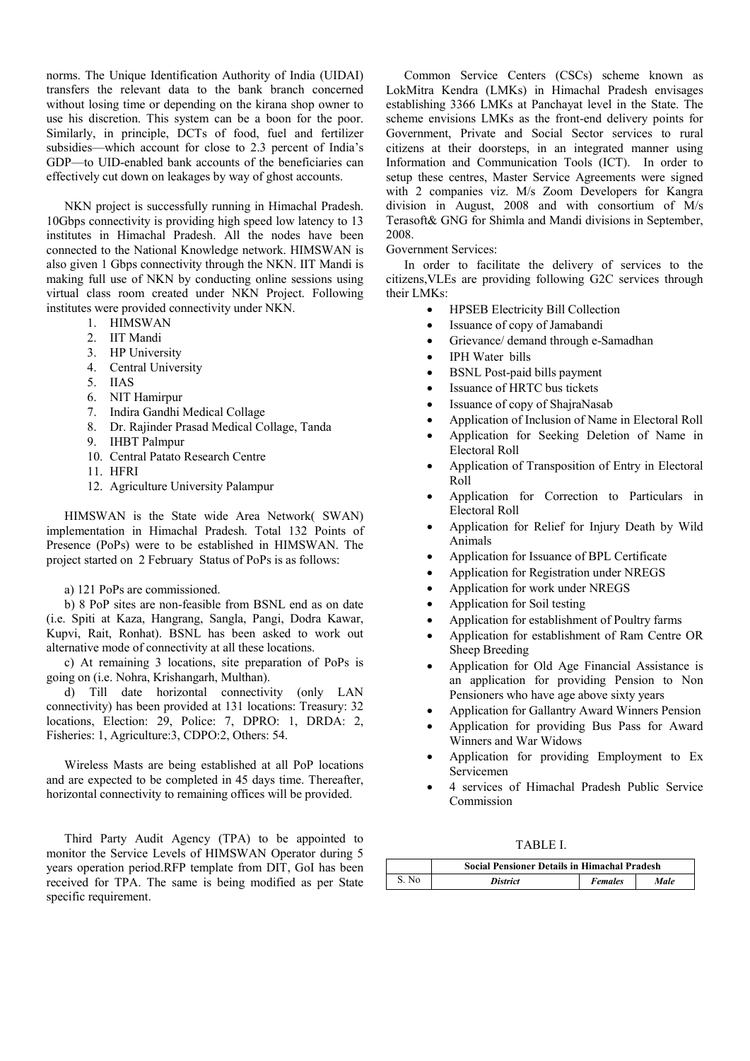norms. The Unique Identification Authority of India (UIDAI) transfers the relevant data to the bank branch concerned without losing time or depending on the kirana shop owner to use his discretion. This system can be a boon for the poor. Similarly, in principle, DCTs of food, fuel and fertilizer subsidies—which account for close to 2.3 percent of India's GDP—to UID-enabled bank accounts of the beneficiaries can effectively cut down on leakages by way of ghost accounts.

NKN project is successfully running in Himachal Pradesh. 10Gbps connectivity is providing high speed low latency to 13 institutes in Himachal Pradesh. All the nodes have been connected to the National Knowledge network. HIMSWAN is also given 1 Gbps connectivity through the NKN. IIT Mandi is making full use of NKN by conducting online sessions using virtual class room created under NKN Project. Following institutes were provided connectivity under NKN.

- 1. HIMSWAN
- 2. IIT Mandi
- 3. HP University
- 4. Central University
- 5. IIAS
- 6. NIT Hamirpur
- 7. Indira Gandhi Medical Collage
- 8. Dr. Rajinder Prasad Medical Collage, Tanda
- 9. IHBT Palmpur
- 10. Central Patato Research Centre
- 11. HFRI
- 12. Agriculture University Palampur

HIMSWAN is the State wide Area Network( SWAN) implementation in Himachal Pradesh. Total 132 Points of Presence (PoPs) were to be established in HIMSWAN. The project started on 2 February Status of PoPs is as follows:

a) 121 PoPs are commissioned.

b) 8 PoP sites are non-feasible from BSNL end as on date (i.e. Spiti at Kaza, Hangrang, Sangla, Pangi, Dodra Kawar, Kupvi, Rait, Ronhat). BSNL has been asked to work out alternative mode of connectivity at all these locations.

c) At remaining 3 locations, site preparation of PoPs is going on (i.e. Nohra, Krishangarh, Multhan).

d) Till date horizontal connectivity (only LAN connectivity) has been provided at 131 locations: Treasury: 32 locations, Election: 29, Police: 7, DPRO: 1, DRDA: 2, Fisheries: 1, Agriculture:3, CDPO:2, Others: 54.

Wireless Masts are being established at all PoP locations and are expected to be completed in 45 days time. Thereafter, horizontal connectivity to remaining offices will be provided.

Third Party Audit Agency (TPA) to be appointed to monitor the Service Levels of HIMSWAN Operator during 5 years operation period.RFP template from DIT, GoI has been received for TPA. The same is being modified as per State specific requirement.

Common Service Centers (CSCs) scheme known as LokMitra Kendra (LMKs) in Himachal Pradesh envisages establishing 3366 LMKs at Panchayat level in the State. The scheme envisions LMKs as the front-end delivery points for Government, Private and Social Sector services to rural citizens at their doorsteps, in an integrated manner using Information and Communication Tools (ICT). In order to setup these centres, Master Service Agreements were signed with 2 companies viz. M/s Zoom Developers for Kangra division in August, 2008 and with consortium of M/s Terasoft& GNG for Shimla and Mandi divisions in September, 2008.

# Government Services:

In order to facilitate the delivery of services to the citizens,VLEs are providing following G2C services through their LMKs:

- HPSEB Electricity Bill Collection
	- Issuance of copy of Jamabandi
	- Grievance/ demand through e-Samadhan
	- IPH Water bills
	- BSNL Post-paid bills payment
	- Issuance of HRTC bus tickets
- Issuance of copy of ShajraNasab
- Application of Inclusion of Name in Electoral Roll
- Application for Seeking Deletion of Name in Electoral Roll
- Application of Transposition of Entry in Electoral Roll
- Application for Correction to Particulars in Electoral Roll
- Application for Relief for Injury Death by Wild Animals
- Application for Issuance of BPL Certificate
- Application for Registration under NREGS
- Application for work under NREGS
- Application for Soil testing
- Application for establishment of Poultry farms
- Application for establishment of Ram Centre OR Sheep Breeding
- Application for Old Age Financial Assistance is an application for providing Pension to Non Pensioners who have age above sixty years
- Application for Gallantry Award Winners Pension
- Application for providing Bus Pass for Award Winners and War Widows
- Application for providing Employment to Ex Servicemen
- 4 services of Himachal Pradesh Public Service Commission

## TABLE I.

|       | <b>Social Pensioner Details in Himachal Pradesh</b> |                |      |  |
|-------|-----------------------------------------------------|----------------|------|--|
| S. No | <b>District</b>                                     | <b>Females</b> | Male |  |